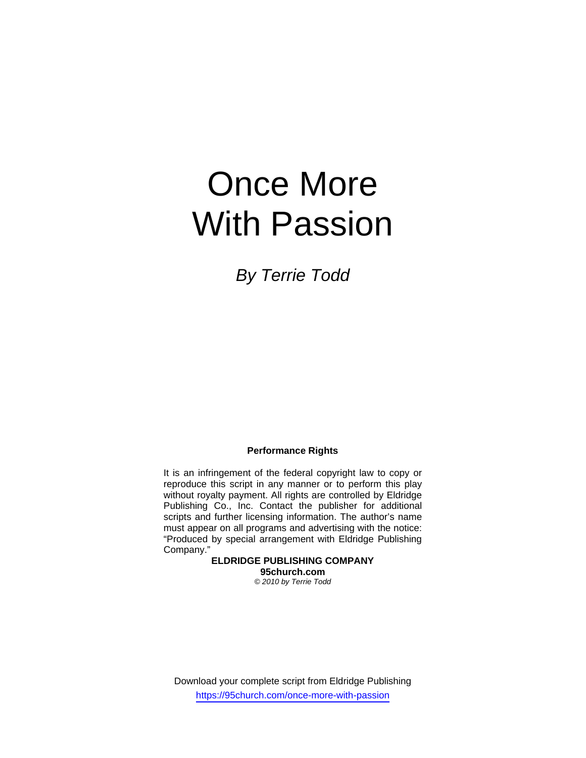# Once More With Passion

*By Terrie Todd* 

### **Performance Rights**

It is an infringement of the federal copyright law to copy or reproduce this script in any manner or to perform this play without royalty payment. All rights are controlled by Eldridge Publishing Co., Inc. Contact the publisher for additional scripts and further licensing information. The author's name must appear on all programs and advertising with the notice: "Produced by special arrangement with Eldridge Publishing Company."

> **ELDRIDGE PUBLISHING COMPANY 95church.com**  *© 2010 by Terrie Todd*

Download your complete script from Eldridge Publishing https://95church.com/once-more-with-passion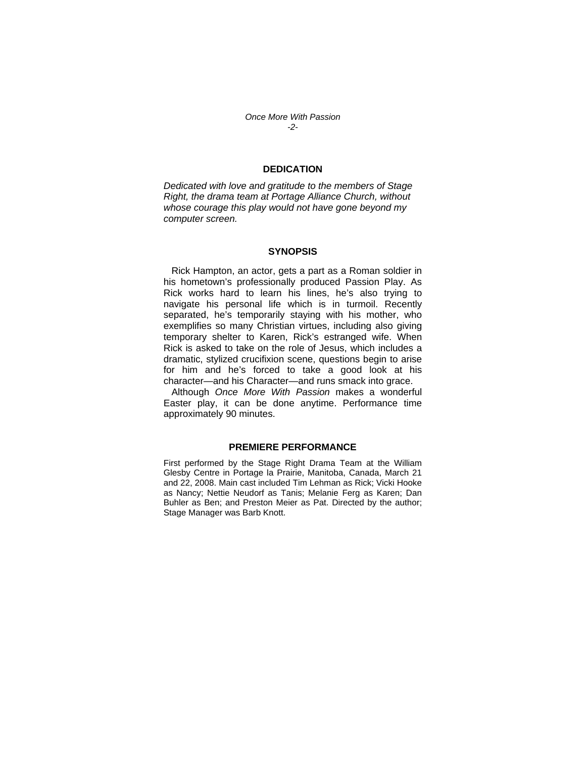*Once More With Passion -2-* 

# **DEDICATION**

*Dedicated with love and gratitude to the members of Stage Right, the drama team at Portage Alliance Church, without whose courage this play would not have gone beyond my computer screen.* 

#### **SYNOPSIS**

 Rick Hampton, an actor, gets a part as a Roman soldier in his hometown's professionally produced Passion Play. As Rick works hard to learn his lines, he's also trying to navigate his personal life which is in turmoil. Recently separated, he's temporarily staying with his mother, who exemplifies so many Christian virtues, including also giving temporary shelter to Karen, Rick's estranged wife. When Rick is asked to take on the role of Jesus, which includes a dramatic, stylized crucifixion scene, questions begin to arise for him and he's forced to take a good look at his character—and his Character—and runs smack into grace.

 Although *Once More With Passion* makes a wonderful Easter play, it can be done anytime. Performance time approximately 90 minutes.

#### **PREMIERE PERFORMANCE**

First performed by the Stage Right Drama Team at the William Glesby Centre in Portage la Prairie, Manitoba, Canada, March 21 and 22, 2008. Main cast included Tim Lehman as Rick; Vicki Hooke as Nancy; Nettie Neudorf as Tanis; Melanie Ferg as Karen; Dan Buhler as Ben; and Preston Meier as Pat. Directed by the author; Stage Manager was Barb Knott.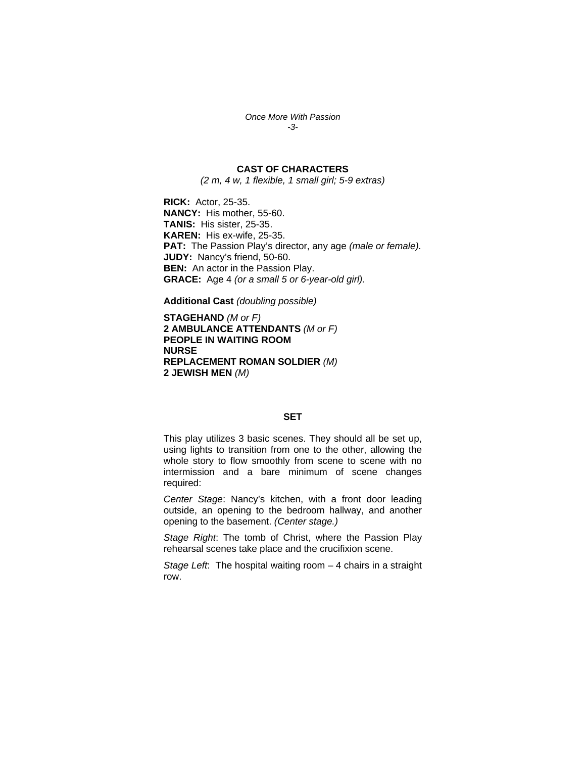*Once More With Passion -3-* 

# **CAST OF CHARACTERS**

*(2 m, 4 w, 1 flexible, 1 small girl; 5-9 extras)* 

**RICK:** Actor, 25-35. **NANCY:** His mother, 55-60. **TANIS:** His sister, 25-35. **KAREN:** His ex-wife, 25-35. **PAT:** The Passion Play's director, any age *(male or female).*  **JUDY:** Nancy's friend, 50-60. **BEN:** An actor in the Passion Play. **GRACE:** Age 4 *(or a small 5 or 6-year-old girl).*

**Additional Cast** *(doubling possible)* 

**STAGEHAND** *(M or F)*  **2 AMBULANCE ATTENDANTS** *(M or F)*  **PEOPLE IN WAITING ROOM NURSE REPLACEMENT ROMAN SOLDIER** *(M)* **2 JEWISH MEN** *(M)*

# **SET**

This play utilizes 3 basic scenes. They should all be set up, using lights to transition from one to the other, allowing the whole story to flow smoothly from scene to scene with no intermission and a bare minimum of scene changes required:

*Center Stage*: Nancy's kitchen, with a front door leading outside, an opening to the bedroom hallway, and another opening to the basement. *(Center stage.)* 

*Stage Right*: The tomb of Christ, where the Passion Play rehearsal scenes take place and the crucifixion scene.

*Stage Left*: The hospital waiting room – 4 chairs in a straight row.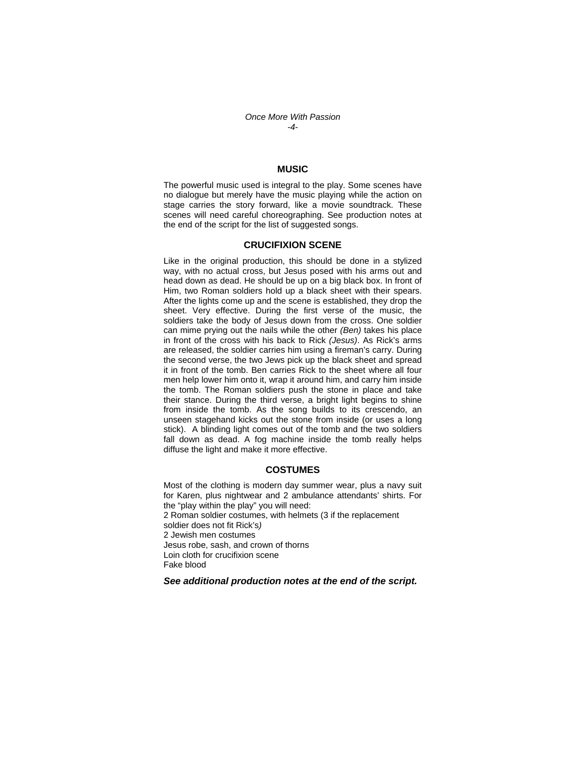## *Once More With Passion -4-*

### **MUSIC**

The powerful music used is integral to the play. Some scenes have no dialogue but merely have the music playing while the action on stage carries the story forward, like a movie soundtrack. These scenes will need careful choreographing. See production notes at the end of the script for the list of suggested songs.

#### **CRUCIFIXION SCENE**

Like in the original production, this should be done in a stylized way, with no actual cross, but Jesus posed with his arms out and head down as dead. He should be up on a big black box. In front of Him, two Roman soldiers hold up a black sheet with their spears. After the lights come up and the scene is established, they drop the sheet. Very effective. During the first verse of the music, the soldiers take the body of Jesus down from the cross. One soldier can mime prying out the nails while the other *(Ben)* takes his place in front of the cross with his back to Rick *(Jesus)*. As Rick's arms are released, the soldier carries him using a fireman's carry. During the second verse, the two Jews pick up the black sheet and spread it in front of the tomb. Ben carries Rick to the sheet where all four men help lower him onto it, wrap it around him, and carry him inside the tomb. The Roman soldiers push the stone in place and take their stance. During the third verse, a bright light begins to shine from inside the tomb. As the song builds to its crescendo, an unseen stagehand kicks out the stone from inside (or uses a long stick). A blinding light comes out of the tomb and the two soldiers fall down as dead. A fog machine inside the tomb really helps diffuse the light and make it more effective.

#### **COSTUMES**

Most of the clothing is modern day summer wear, plus a navy suit for Karen, plus nightwear and 2 ambulance attendants' shirts. For the "play within the play" you will need: 2 Roman soldier costumes, with helmets (3 if the replacement soldier does not fit Rick's*)* 2 Jewish men costumes Jesus robe, sash, and crown of thorns Loin cloth for crucifixion scene Fake blood

*See additional production notes at the end of the script.*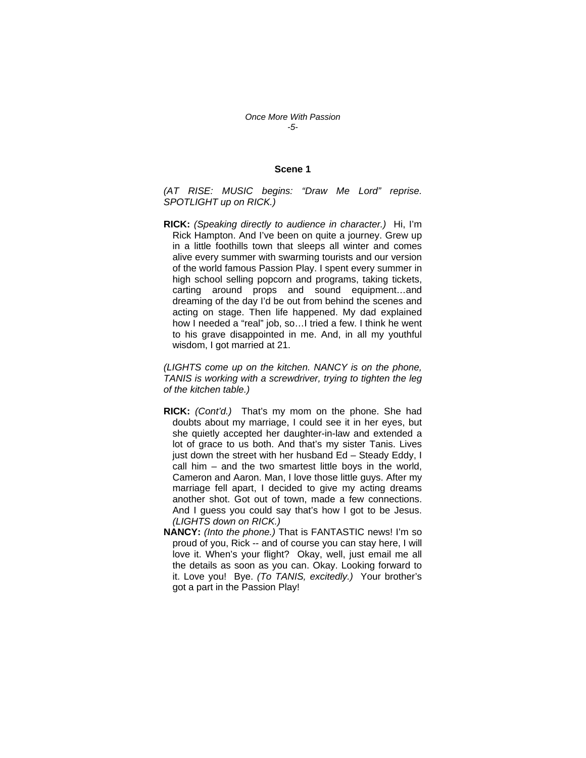#### **Scene 1**

*(AT RISE: MUSIC begins: "Draw Me Lord" reprise. SPOTLIGHT up on RICK.)* 

**RICK:** *(Speaking directly to audience in character.)* Hi, I'm Rick Hampton. And I've been on quite a journey. Grew up in a little foothills town that sleeps all winter and comes alive every summer with swarming tourists and our version of the world famous Passion Play. I spent every summer in high school selling popcorn and programs, taking tickets, carting around props and sound equipment…and dreaming of the day I'd be out from behind the scenes and acting on stage. Then life happened. My dad explained how I needed a "real" job, so…I tried a few. I think he went to his grave disappointed in me. And, in all my youthful wisdom, I got married at 21.

*(LIGHTS come up on the kitchen. NANCY is on the phone, TANIS is working with a screwdriver, trying to tighten the leg of the kitchen table.)* 

- **RICK:** *(Cont'd.)* That's my mom on the phone. She had doubts about my marriage, I could see it in her eyes, but she quietly accepted her daughter-in-law and extended a lot of grace to us both. And that's my sister Tanis. Lives just down the street with her husband Ed - Steady Eddy, I call him – and the two smartest little boys in the world, Cameron and Aaron. Man, I love those little guys. After my marriage fell apart, I decided to give my acting dreams another shot. Got out of town, made a few connections. And I guess you could say that's how I got to be Jesus. *(LIGHTS down on RICK.)*
- **NANCY:** *(Into the phone.)* That is FANTASTIC news! I'm so proud of you, Rick -- and of course you can stay here, I will love it. When's your flight? Okay, well, just email me all the details as soon as you can. Okay. Looking forward to it. Love you! Bye. *(To TANIS, excitedly.)* Your brother's got a part in the Passion Play!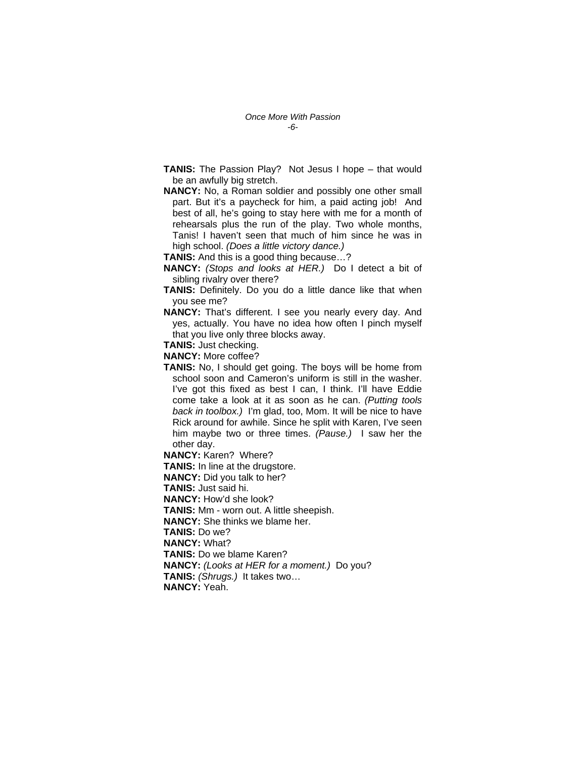- **TANIS:** The Passion Play? Not Jesus I hope that would be an awfully big stretch.
- **NANCY:** No, a Roman soldier and possibly one other small part. But it's a paycheck for him, a paid acting job! And best of all, he's going to stay here with me for a month of rehearsals plus the run of the play. Two whole months, Tanis! I haven't seen that much of him since he was in high school. *(Does a little victory dance.)*

**TANIS:** And this is a good thing because…?

- **NANCY:** *(Stops and looks at HER.)* Do I detect a bit of sibling rivalry over there?
- **TANIS:** Definitely. Do you do a little dance like that when you see me?
- **NANCY:** That's different. I see you nearly every day. And yes, actually. You have no idea how often I pinch myself that you live only three blocks away.
- **TANIS:** Just checking.

**NANCY:** More coffee?

**TANIS:** No, I should get going. The boys will be home from school soon and Cameron's uniform is still in the washer. I've got this fixed as best I can, I think. I'll have Eddie come take a look at it as soon as he can. *(Putting tools back in toolbox.)* I'm glad, too, Mom. It will be nice to have Rick around for awhile. Since he split with Karen, I've seen him maybe two or three times. *(Pause.)* I saw her the other day.

**NANCY:** Karen? Where?

**TANIS:** In line at the drugstore. **NANCY:** Did you talk to her? **TANIS:** Just said hi. **NANCY:** How'd she look? **TANIS:** Mm - worn out. A little sheepish. **NANCY:** She thinks we blame her. **TANIS:** Do we? **NANCY:** What? **TANIS:** Do we blame Karen? **NANCY:** *(Looks at HER for a moment.)* Do you? **TANIS:** *(Shrugs.)* It takes two…

**NANCY:** Yeah.